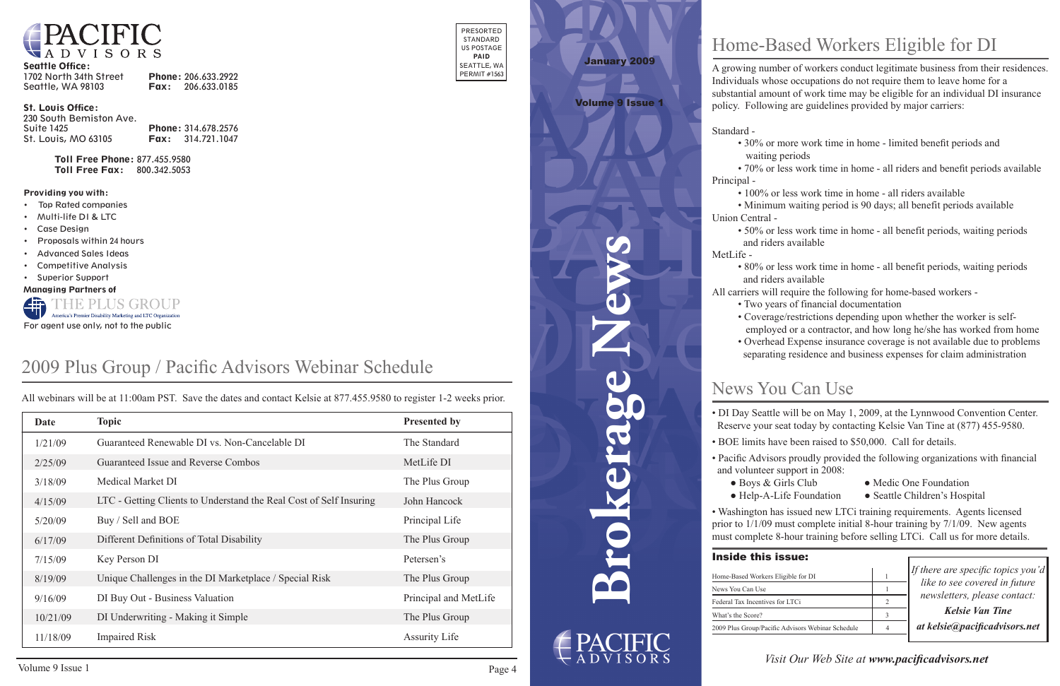

#### Seattle Office:

| 1702 North 34th Street | Phone: 206.633.2922      |
|------------------------|--------------------------|
| Seattle, WA 98103      | <b>Fax:</b> 206.633.0185 |

#### St. Louis Office:

| 230 South Bemiston Ave.    |                            |
|----------------------------|----------------------------|
| Suite 1425                 | <b>Phone: 314.678.2576</b> |
| <b>St. Louis, MO 63105</b> | <b>Fax:</b> 314.721.1047   |

Toll Free Phone: 877.455.9580 Toll Free Fax: 800.342.5053

- **Top Rated companies**
- • Multi-life DI & LTC
- **Case Design**
- Proposals within 24 hours
- **Advanced Sales Ideas**
- **Competitive Analysis**
- • Superior Support

PRESORTED STANDARD US POSTAGE PAID SEATTLE, WA PERMIT #1563

#### Providing you with:

Managing Partners of



**Brokerage News**

## News You Can Use

| <b>issue:</b>               |                                    |
|-----------------------------|------------------------------------|
| Eligible for DI             | If there are specific topics you'd |
|                             | like to see covered in future      |
| for LTCi                    | newsletters, please contact:       |
|                             | Kelsie Van Tine                    |
| c Advisors Webinar Schedule | at kelsie@pacificadvisors.net      |

## *Visit Our Web Site at www.pacificadvisors.net*

# January 2009

Volume 9 Issue 1

## Home-Based Workers Eligible for DI

A growing number of workers conduct legitimate business from their residences. Individuals whose occupations do not require them to leave home for a substantial amount of work time may be eligible for an individual DI insurance policy. Following are guidelines provided by major carriers:

Standard -

- 
- 
- 

Principal -

 • 100% or less work time in home - all riders available • Minimum waiting period is 90 days; all benefit periods available

Union Central -

- DI Day Seattle will be on May 1, 2009, at the Lynnwood Convention Center. Reserve your seat today by contacting Kelsie Van Tine at (877) 455-9580.
	-
	- Boys & Girls Club Medic One Foundation
	- Help-A-Life Foundation Seattle Children's Hospital
- Washington has issued new LTCi training requirements. Agents licensed prior to 1/1/09 must complete initial 8-hour training by 7/1/09. New agents must complete 8-hour training before selling LTCi. Call us for more details.
- 30% or more work time in home limited benefit periods and waiting periods
- 70% or less work time in home all riders and benefit periods available
- 50% or less work time in home all benefit periods, waiting periods and riders available
- 80% or less work time in home all benefit periods, waiting periods and riders available
- All carriers will require the following for home-based workers
	- Two years of financial documentation
	- Coverage/restrictions depending upon whether the worker is self-

- BOE limits have been raised to \$50,000. Call for details.
- Pacific Advisors proudly provided the following organizations with financial and volunteer support in 2008:
	-
	-

### **Inside this i**

Home-Based Workers I News You Can Use Federal Tax Incentives What's the Score? 2009 Plus Group/Pacifi

MetLife -

- 
- 
- employed or a contractor, and how long he/she has worked from home separating residence and business expenses for claim administration
- Overhead Expense insurance coverage is not available due to problems

## 2009 Plus Group / Pacific Advisors Webinar Schedule

| Date     | <b>Topic</b>                                                       | <b>Presented by</b>   |
|----------|--------------------------------------------------------------------|-----------------------|
| 1/21/09  | Guaranteed Renewable DI vs. Non-Cancelable DI                      | The Standard          |
| 2/25/09  | Guaranteed Issue and Reverse Combos                                | MetLife DI            |
| 3/18/09  | <b>Medical Market DI</b>                                           | The Plus Group        |
| 4/15/09  | LTC - Getting Clients to Understand the Real Cost of Self Insuring | John Hancock          |
| 5/20/09  | Buy / Sell and BOE                                                 | Principal Life        |
| 6/17/09  | Different Definitions of Total Disability                          | The Plus Group        |
| 7/15/09  | Key Person DI                                                      | Petersen's            |
| 8/19/09  | Unique Challenges in the DI Marketplace / Special Risk             | The Plus Group        |
| 9/16/09  | DI Buy Out - Business Valuation                                    | Principal and MetLife |
| 10/21/09 | DI Underwriting - Making it Simple                                 | The Plus Group        |
| 11/18/09 | <b>Impaired Risk</b>                                               | <b>Assurity Life</b>  |

All webinars will be at 11:00am PST. Save the dates and contact Kelsie at 877.455.9580 to register 1-2 weeks prior.